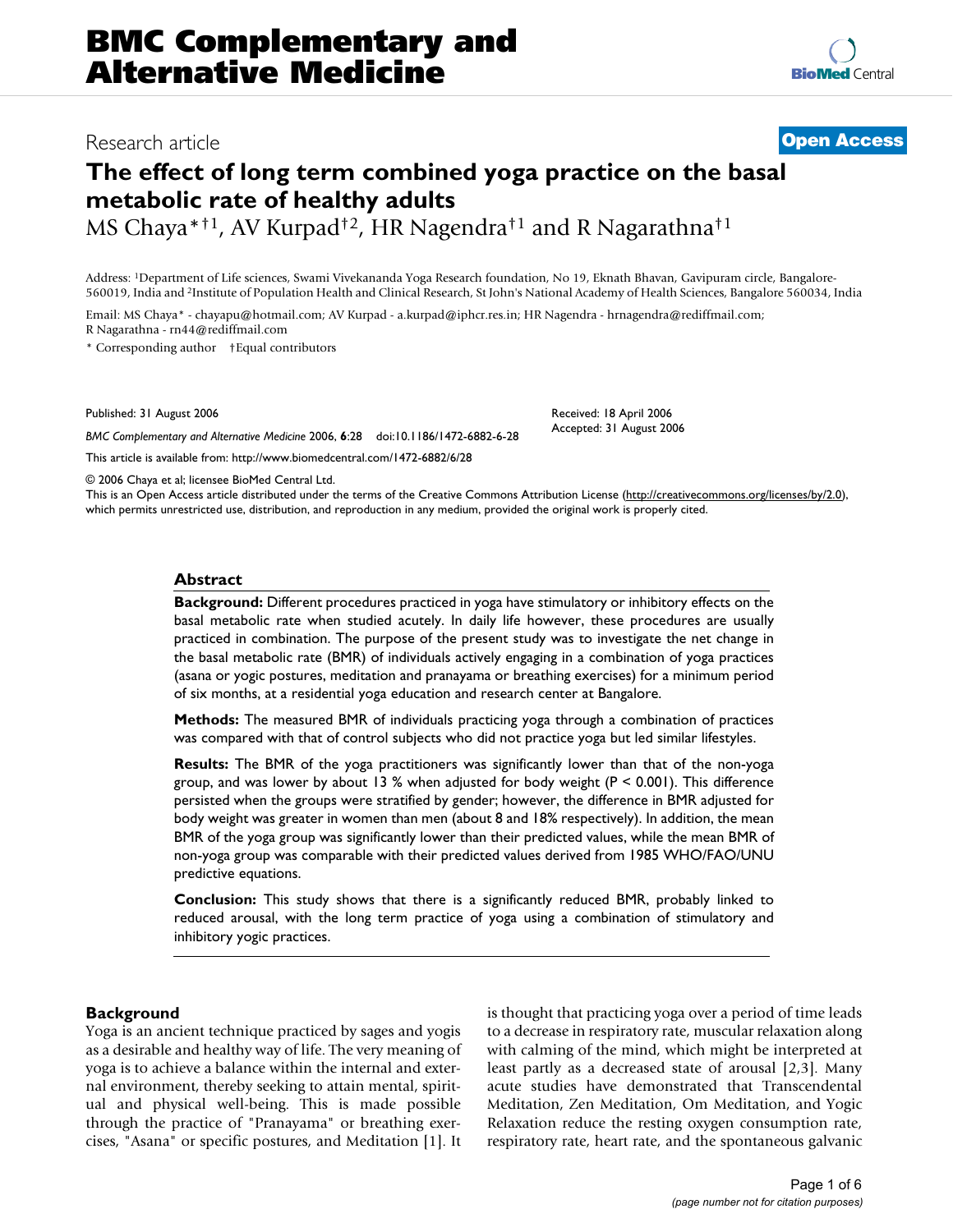# Research article **[Open Access](http://www.biomedcentral.com/info/about/charter/)**

# **The effect of long term combined yoga practice on the basal metabolic rate of healthy adults**

MS Chaya\*†1, AV Kurpad†2, HR Nagendra†1 and R Nagarathna†1

Address: 1Department of Life sciences, Swami Vivekananda Yoga Research foundation, No 19, Eknath Bhavan, Gavipuram circle, Bangalore-560019, India and 2Institute of Population Health and Clinical Research, St John's National Academy of Health Sciences, Bangalore 560034, India

Email: MS Chaya\* - chayapu@hotmail.com; AV Kurpad - a.kurpad@iphcr.res.in; HR Nagendra - hrnagendra@rediffmail.com; R Nagarathna - rn44@rediffmail.com

\* Corresponding author †Equal contributors

Published: 31 August 2006

*BMC Complementary and Alternative Medicine* 2006, **6**:28 doi:10.1186/1472-6882-6-28

[This article is available from: http://www.biomedcentral.com/1472-6882/6/28](http://www.biomedcentral.com/1472-6882/6/28)

© 2006 Chaya et al; licensee BioMed Central Ltd.

This is an Open Access article distributed under the terms of the Creative Commons Attribution License [\(http://creativecommons.org/licenses/by/2.0\)](http://creativecommons.org/licenses/by/2.0), which permits unrestricted use, distribution, and reproduction in any medium, provided the original work is properly cited.

Received: 18 April 2006 Accepted: 31 August 2006

#### **Abstract**

**Background:** Different procedures practiced in yoga have stimulatory or inhibitory effects on the basal metabolic rate when studied acutely. In daily life however, these procedures are usually practiced in combination. The purpose of the present study was to investigate the net change in the basal metabolic rate (BMR) of individuals actively engaging in a combination of yoga practices (asana or yogic postures, meditation and pranayama or breathing exercises) for a minimum period of six months, at a residential yoga education and research center at Bangalore.

**Methods:** The measured BMR of individuals practicing yoga through a combination of practices was compared with that of control subjects who did not practice yoga but led similar lifestyles.

**Results:** The BMR of the yoga practitioners was significantly lower than that of the non-yoga group, and was lower by about 13 % when adjusted for body weight  $(P < 0.001)$ . This difference persisted when the groups were stratified by gender; however, the difference in BMR adjusted for body weight was greater in women than men (about 8 and 18% respectively). In addition, the mean BMR of the yoga group was significantly lower than their predicted values, while the mean BMR of non-yoga group was comparable with their predicted values derived from 1985 WHO/FAO/UNU predictive equations.

**Conclusion:** This study shows that there is a significantly reduced BMR, probably linked to reduced arousal, with the long term practice of yoga using a combination of stimulatory and inhibitory yogic practices.

#### **Background**

Yoga is an ancient technique practiced by sages and yogis as a desirable and healthy way of life. The very meaning of yoga is to achieve a balance within the internal and external environment, thereby seeking to attain mental, spiritual and physical well-being. This is made possible through the practice of "Pranayama" or breathing exercises, "Asana" or specific postures, and Meditation [1]. It is thought that practicing yoga over a period of time leads to a decrease in respiratory rate, muscular relaxation along with calming of the mind, which might be interpreted at least partly as a decreased state of arousal [2,3]. Many acute studies have demonstrated that Transcendental Meditation, Zen Meditation, Om Meditation, and Yogic Relaxation reduce the resting oxygen consumption rate, respiratory rate, heart rate, and the spontaneous galvanic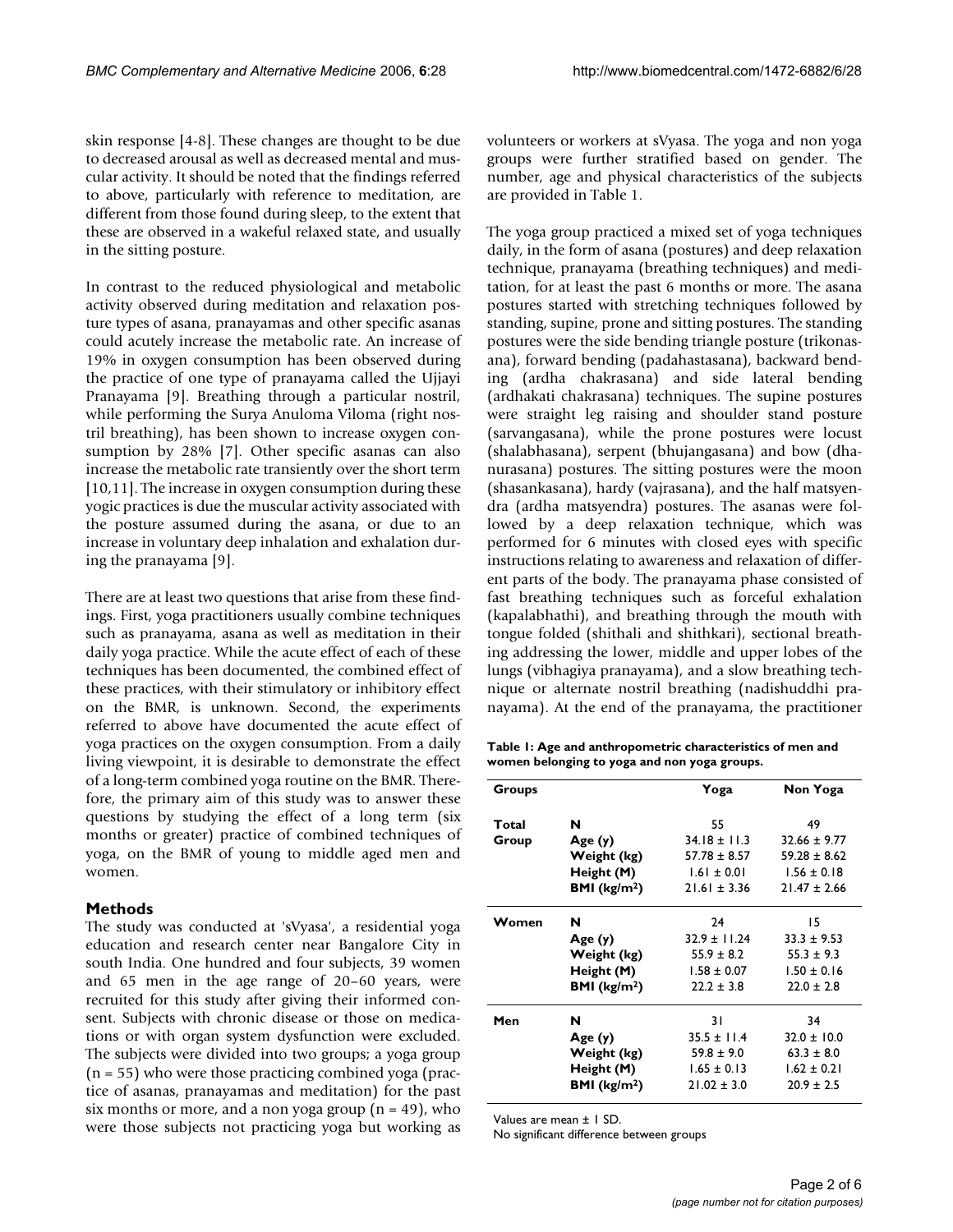skin response [4-8]. These changes are thought to be due to decreased arousal as well as decreased mental and muscular activity. It should be noted that the findings referred to above, particularly with reference to meditation, are different from those found during sleep, to the extent that these are observed in a wakeful relaxed state, and usually in the sitting posture.

In contrast to the reduced physiological and metabolic activity observed during meditation and relaxation posture types of asana, pranayamas and other specific asanas could acutely increase the metabolic rate. An increase of 19% in oxygen consumption has been observed during the practice of one type of pranayama called the Ujjayi Pranayama [9]. Breathing through a particular nostril, while performing the Surya Anuloma Viloma (right nostril breathing), has been shown to increase oxygen consumption by 28% [7]. Other specific asanas can also increase the metabolic rate transiently over the short term [10,11]. The increase in oxygen consumption during these yogic practices is due the muscular activity associated with the posture assumed during the asana, or due to an increase in voluntary deep inhalation and exhalation during the pranayama [9].

There are at least two questions that arise from these findings. First, yoga practitioners usually combine techniques such as pranayama, asana as well as meditation in their daily yoga practice. While the acute effect of each of these techniques has been documented, the combined effect of these practices, with their stimulatory or inhibitory effect on the BMR, is unknown. Second, the experiments referred to above have documented the acute effect of yoga practices on the oxygen consumption. From a daily living viewpoint, it is desirable to demonstrate the effect of a long-term combined yoga routine on the BMR. Therefore, the primary aim of this study was to answer these questions by studying the effect of a long term (six months or greater) practice of combined techniques of yoga, on the BMR of young to middle aged men and women.

### **Methods**

The study was conducted at 'sVyasa', a residential yoga education and research center near Bangalore City in south India. One hundred and four subjects, 39 women and 65 men in the age range of 20–60 years, were recruited for this study after giving their informed consent. Subjects with chronic disease or those on medications or with organ system dysfunction were excluded. The subjects were divided into two groups; a yoga group (n = 55) who were those practicing combined yoga (practice of asanas, pranayamas and meditation) for the past six months or more, and a non yoga group  $(n = 49)$ , who were those subjects not practicing yoga but working as volunteers or workers at sVyasa. The yoga and non yoga groups were further stratified based on gender. The number, age and physical characteristics of the subjects are provided in Table 1.

The yoga group practiced a mixed set of yoga techniques daily, in the form of asana (postures) and deep relaxation technique, pranayama (breathing techniques) and meditation, for at least the past 6 months or more. The asana postures started with stretching techniques followed by standing, supine, prone and sitting postures. The standing postures were the side bending triangle posture (trikonasana), forward bending (padahastasana), backward bending (ardha chakrasana) and side lateral bending (ardhakati chakrasana) techniques. The supine postures were straight leg raising and shoulder stand posture (sarvangasana), while the prone postures were locust (shalabhasana), serpent (bhujangasana) and bow (dhanurasana) postures. The sitting postures were the moon (shasankasana), hardy (vajrasana), and the half matsyendra (ardha matsyendra) postures. The asanas were followed by a deep relaxation technique, which was performed for 6 minutes with closed eyes with specific instructions relating to awareness and relaxation of different parts of the body. The pranayama phase consisted of fast breathing techniques such as forceful exhalation (kapalabhathi), and breathing through the mouth with tongue folded (shithali and shithkari), sectional breathing addressing the lower, middle and upper lobes of the lungs (vibhagiya pranayama), and a slow breathing technique or alternate nostril breathing (nadishuddhi pranayama). At the end of the pranayama, the practitioner

**Table 1: Age and anthropometric characteristics of men and women belonging to yoga and non yoga groups.**

| Groups |                          | Yoga             | Non Yoga         |
|--------|--------------------------|------------------|------------------|
| Total  | N                        | 55               | 49               |
| Group  | Age(y)                   | $34.18 \pm 11.3$ | $32.66 \pm 9.77$ |
|        | Weight (kg)              | $57.78 \pm 8.57$ | $59.28 \pm 8.62$ |
|        | Height (M)               | $1.61 \pm 0.01$  | $1.56 \pm 0.18$  |
|        | <b>BMI</b> ( $kg/m2$ )   | $21.61 \pm 3.36$ | $21.47 \pm 2.66$ |
| Women  | N                        | 24               | 15               |
|        | Age(y)                   | $32.9 \pm 11.24$ | $33.3 \pm 9.53$  |
|        | Weight (kg)              | $55.9 \pm 8.2$   | $55.3 \pm 9.3$   |
|        | Height (M)               | $1.58 \pm 0.07$  | $1.50 \pm 0.16$  |
|        | BMI (kg/m <sup>2</sup> ) | $22.2 \pm 3.8$   | $22.0 \pm 2.8$   |
| Men    | N                        | $\overline{3}$   | 34               |
|        | Age(y)                   | $35.5 \pm 11.4$  | $32.0 \pm 10.0$  |
|        | Weight (kg)              | $59.8 \pm 9.0$   | $63.3 \pm 8.0$   |
|        | Height (M)               | $1.65 \pm 0.13$  | $1.62 \pm 0.21$  |
|        | BMI (kg/m <sup>2</sup> ) | $21.02 \pm 3.0$  | $20.9 \pm 2.5$   |

Values are mean ± 1 SD.

No significant difference between groups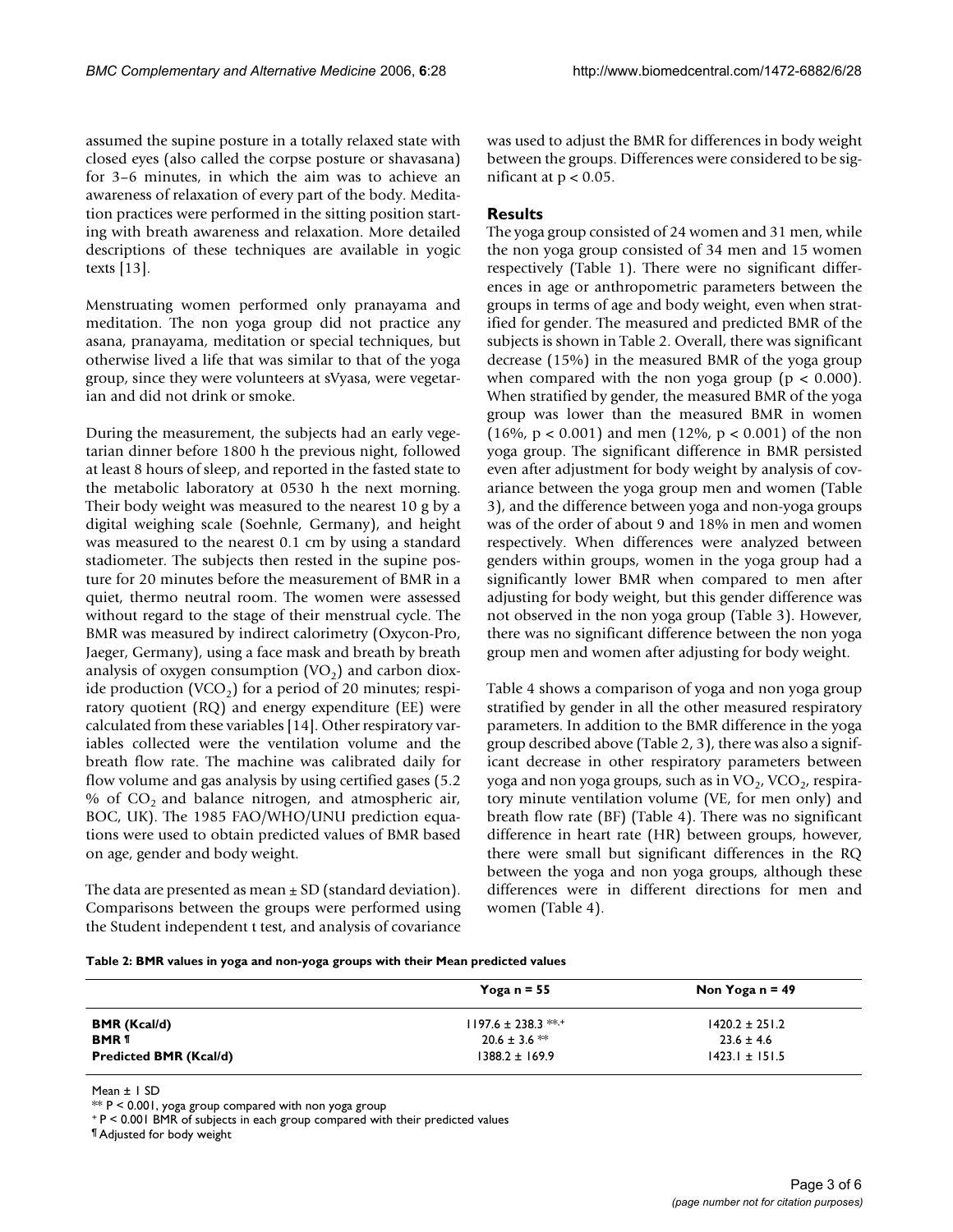assumed the supine posture in a totally relaxed state with closed eyes (also called the corpse posture or shavasana) for 3–6 minutes, in which the aim was to achieve an awareness of relaxation of every part of the body. Meditation practices were performed in the sitting position starting with breath awareness and relaxation. More detailed descriptions of these techniques are available in yogic texts [13].

Menstruating women performed only pranayama and meditation. The non yoga group did not practice any asana, pranayama, meditation or special techniques, but otherwise lived a life that was similar to that of the yoga group, since they were volunteers at sVyasa, were vegetarian and did not drink or smoke.

During the measurement, the subjects had an early vegetarian dinner before 1800 h the previous night, followed at least 8 hours of sleep, and reported in the fasted state to the metabolic laboratory at 0530 h the next morning. Their body weight was measured to the nearest 10 g by a digital weighing scale (Soehnle, Germany), and height was measured to the nearest 0.1 cm by using a standard stadiometer. The subjects then rested in the supine posture for 20 minutes before the measurement of BMR in a quiet, thermo neutral room. The women were assessed without regard to the stage of their menstrual cycle. The BMR was measured by indirect calorimetry (Oxycon-Pro, Jaeger, Germany), using a face mask and breath by breath analysis of oxygen consumption  $(VO<sub>2</sub>)$  and carbon dioxide production (VCO<sub>2</sub>) for a period of 20 minutes; respiratory quotient (RQ) and energy expenditure (EE) were calculated from these variables [14]. Other respiratory variables collected were the ventilation volume and the breath flow rate. The machine was calibrated daily for flow volume and gas analysis by using certified gases (5.2  $%$  of CO<sub>2</sub> and balance nitrogen, and atmospheric air, BOC, UK). The 1985 FAO/WHO/UNU prediction equations were used to obtain predicted values of BMR based on age, gender and body weight.

The data are presented as mean  $\pm$  SD (standard deviation). Comparisons between the groups were performed using the Student independent t test, and analysis of covariance was used to adjust the BMR for differences in body weight between the groups. Differences were considered to be significant at  $p < 0.05$ .

## **Results**

The yoga group consisted of 24 women and 31 men, while the non yoga group consisted of 34 men and 15 women respectively (Table 1). There were no significant differences in age or anthropometric parameters between the groups in terms of age and body weight, even when stratified for gender. The measured and predicted BMR of the subjects is shown in Table 2. Overall, there was significant decrease (15%) in the measured BMR of the yoga group when compared with the non yoga group ( $p < 0.000$ ). When stratified by gender, the measured BMR of the yoga group was lower than the measured BMR in women (16%,  $p < 0.001$ ) and men (12%,  $p < 0.001$ ) of the non yoga group. The significant difference in BMR persisted even after adjustment for body weight by analysis of covariance between the yoga group men and women (Table 3), and the difference between yoga and non-yoga groups was of the order of about 9 and 18% in men and women respectively. When differences were analyzed between genders within groups, women in the yoga group had a significantly lower BMR when compared to men after adjusting for body weight, but this gender difference was not observed in the non yoga group (Table 3). However, there was no significant difference between the non yoga group men and women after adjusting for body weight.

Table 4 shows a comparison of yoga and non yoga group stratified by gender in all the other measured respiratory parameters. In addition to the BMR difference in the yoga group described above (Table 2, 3), there was also a significant decrease in other respiratory parameters between yoga and non yoga groups, such as in  $VO_2$ , VCO<sub>2</sub>, respiratory minute ventilation volume (VE, for men only) and breath flow rate (BF) (Table 4). There was no significant difference in heart rate (HR) between groups, however, there were small but significant differences in the RQ between the yoga and non yoga groups, although these differences were in different directions for men and women (Table 4).

**Table 2: BMR values in yoga and non-yoga groups with their Mean predicted values**

|                               | Yoga $n = 55$          | Non Yoga $n = 49$  |
|-------------------------------|------------------------|--------------------|
| <b>BMR (Kcal/d)</b>           | $1197.6 \pm 238.3$ **. | $1420.2 \pm 251.2$ |
| <b>BMR</b> <sup>1</sup>       | $20.6 \pm 3.6$ **      | $23.6 \pm 4.6$     |
| <b>Predicted BMR (Kcal/d)</b> | $1388.2 \pm 169.9$     | $1423.1 \pm 151.5$ |

Mean ± 1 SD

 $** P < 0.001$ , yoga group compared with non yoga group

+ P < 0.001 BMR of subjects in each group compared with their predicted values

¶ Adjusted for body weight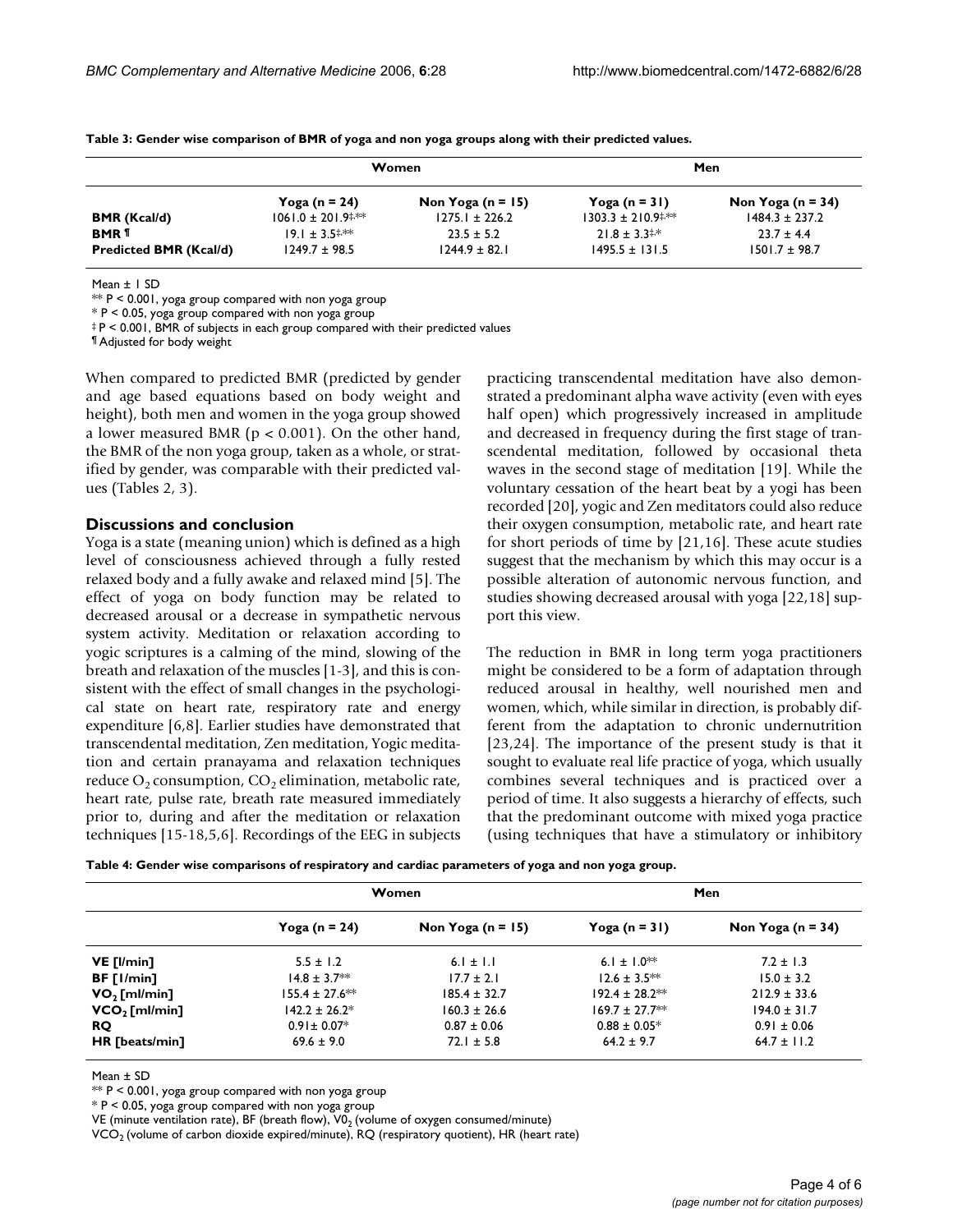|                               | Women                  |                       | Men                     |                       |
|-------------------------------|------------------------|-----------------------|-------------------------|-----------------------|
|                               | Yoga (n = 24)          | Non Yoga ( $n = 15$ ) | Yoga (n = $31$ )        | Non Yoga ( $n = 34$ ) |
| <b>BMR (Kcal/d)</b>           | $1061.0 \pm 201.9$ #** | $1275.1 \pm 226.2$    | $1303.3 \pm 210.9$ #**  | $1484.3 \pm 237.2$    |
| <b>BMR1</b>                   | $19.1 \pm 3.5$ #**     | $23.5 \pm 5.2$        | $21.8 \pm 3.3$ $\div$ * | $23.7 \pm 4.4$        |
| <b>Predicted BMR (Kcal/d)</b> | $1249.7 \pm 98.5$      | $1244.9 \pm 82.1$     | $1495.5 \pm 131.5$      | $1501.7 \pm 98.7$     |

**Table 3: Gender wise comparison of BMR of yoga and non yoga groups along with their predicted values.**

Mean ± 1 SD

 $** P < 0.001$ , yoga group compared with non yoga group

\* P < 0.05, yoga group compared with non yoga group

‡ P < 0.001, BMR of subjects in each group compared with their predicted values

¶ Adjusted for body weight

When compared to predicted BMR (predicted by gender and age based equations based on body weight and height), both men and women in the yoga group showed a lower measured BMR ( $p < 0.001$ ). On the other hand, the BMR of the non yoga group, taken as a whole, or stratified by gender, was comparable with their predicted values (Tables 2, 3).

#### **Discussions and conclusion**

Yoga is a state (meaning union) which is defined as a high level of consciousness achieved through a fully rested relaxed body and a fully awake and relaxed mind [5]. The effect of yoga on body function may be related to decreased arousal or a decrease in sympathetic nervous system activity. Meditation or relaxation according to yogic scriptures is a calming of the mind, slowing of the breath and relaxation of the muscles [1-3], and this is consistent with the effect of small changes in the psychological state on heart rate, respiratory rate and energy expenditure [6,8]. Earlier studies have demonstrated that transcendental meditation, Zen meditation, Yogic meditation and certain pranayama and relaxation techniques reduce  $O_2$  consumption,  $CO_2$  elimination, metabolic rate, heart rate, pulse rate, breath rate measured immediately prior to, during and after the meditation or relaxation techniques [15-18,5,6]. Recordings of the EEG in subjects practicing transcendental meditation have also demonstrated a predominant alpha wave activity (even with eyes half open) which progressively increased in amplitude and decreased in frequency during the first stage of transcendental meditation, followed by occasional theta waves in the second stage of meditation [19]. While the voluntary cessation of the heart beat by a yogi has been recorded [20], yogic and Zen meditators could also reduce their oxygen consumption, metabolic rate, and heart rate for short periods of time by [21,16]. These acute studies suggest that the mechanism by which this may occur is a possible alteration of autonomic nervous function, and studies showing decreased arousal with yoga [22,18] support this view.

The reduction in BMR in long term yoga practitioners might be considered to be a form of adaptation through reduced arousal in healthy, well nourished men and women, which, while similar in direction, is probably different from the adaptation to chronic undernutrition [23,24]. The importance of the present study is that it sought to evaluate real life practice of yoga, which usually combines several techniques and is practiced over a period of time. It also suggests a hierarchy of effects, such that the predominant outcome with mixed yoga practice (using techniques that have a stimulatory or inhibitory

**Table 4: Gender wise comparisons of respiratory and cardiac parameters of yoga and non yoga group.**

|                  | Women               |                       | Men                 |                       |
|------------------|---------------------|-----------------------|---------------------|-----------------------|
|                  | Yoga (n = 24)       | Non Yoga ( $n = 15$ ) | Yoga (n = $31$ )    | Non Yoga ( $n = 34$ ) |
| VE [I/min]       | $5.5 \pm 1.2$       | $6.1 \pm 1.1$         | 6.1 ± $1.0^{**}$    | $7.2 \pm 1.3$         |
| $BF$ [ $l/min$ ] | $14.8 \pm 3.7$ **   | $17.7 \pm 2.1$        | $12.6 \pm 3.5$ **   | $15.0 \pm 3.2$        |
| VO, [ml/min]     | $155.4 \pm 27.6$ ** | $185.4 \pm 32.7$      | $192.4 \pm 28.2$ ** | $212.9 \pm 33.6$      |
| $VCO2$ [ml/min]  | $142.2 \pm 26.2^*$  | $160.3 \pm 26.6$      | $169.7 \pm 27.7$ ** | $194.0 \pm 31.7$      |
| <b>RQ</b>        | $0.91 \pm 0.07*$    | $0.87 \pm 0.06$       | $0.88 \pm 0.05*$    | $0.91 \pm 0.06$       |
| HR [beats/min]   | $69.6 \pm 9.0$      | $72.1 \pm 5.8$        | $64.2 \pm 9.7$      | $64.7 \pm 11.2$       |

Mean ± SD

 $** P < 0.001$ , yoga group compared with non yoga group

\* P < 0.05, yoga group compared with non yoga group

VE (minute ventilation rate), BF (breath flow),  $V0<sub>2</sub>$  (volume of oxygen consumed/minute)

 $VCO<sub>2</sub>$  (volume of carbon dioxide expired/minute), RQ (respiratory quotient), HR (heart rate)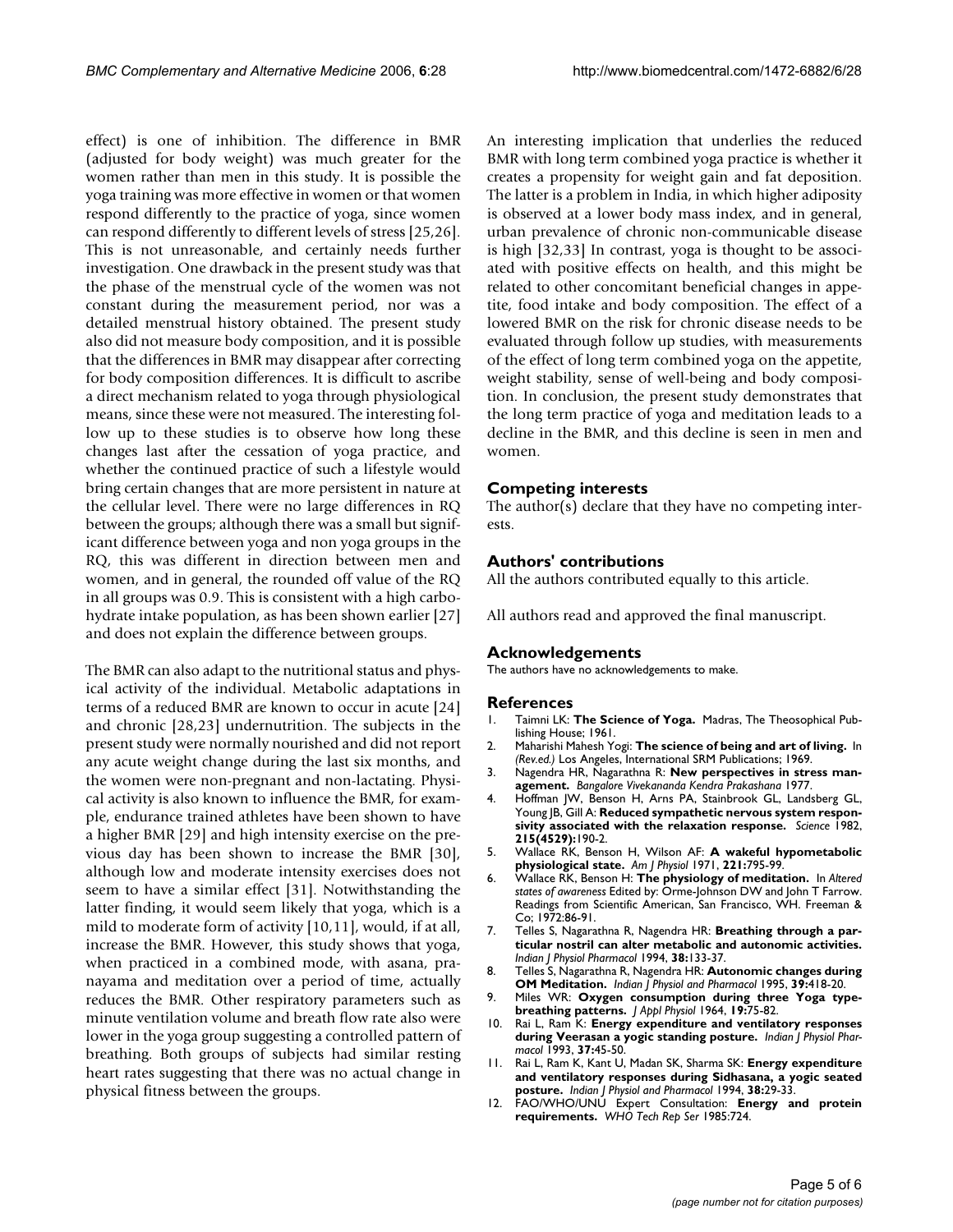effect) is one of inhibition. The difference in BMR (adjusted for body weight) was much greater for the women rather than men in this study. It is possible the yoga training was more effective in women or that women respond differently to the practice of yoga, since women can respond differently to different levels of stress [25,26]. This is not unreasonable, and certainly needs further investigation. One drawback in the present study was that the phase of the menstrual cycle of the women was not constant during the measurement period, nor was a detailed menstrual history obtained. The present study also did not measure body composition, and it is possible that the differences in BMR may disappear after correcting for body composition differences. It is difficult to ascribe a direct mechanism related to yoga through physiological means, since these were not measured. The interesting follow up to these studies is to observe how long these changes last after the cessation of yoga practice, and whether the continued practice of such a lifestyle would bring certain changes that are more persistent in nature at the cellular level. There were no large differences in RQ between the groups; although there was a small but significant difference between yoga and non yoga groups in the RQ, this was different in direction between men and women, and in general, the rounded off value of the RQ in all groups was 0.9. This is consistent with a high carbohydrate intake population, as has been shown earlier [27] and does not explain the difference between groups.

The BMR can also adapt to the nutritional status and physical activity of the individual. Metabolic adaptations in terms of a reduced BMR are known to occur in acute [24] and chronic [28,23] undernutrition. The subjects in the present study were normally nourished and did not report any acute weight change during the last six months, and the women were non-pregnant and non-lactating. Physical activity is also known to influence the BMR, for example, endurance trained athletes have been shown to have a higher BMR [29] and high intensity exercise on the previous day has been shown to increase the BMR [30], although low and moderate intensity exercises does not seem to have a similar effect [31]. Notwithstanding the latter finding, it would seem likely that yoga, which is a mild to moderate form of activity [10,11], would, if at all, increase the BMR. However, this study shows that yoga, when practiced in a combined mode, with asana, pranayama and meditation over a period of time, actually reduces the BMR. Other respiratory parameters such as minute ventilation volume and breath flow rate also were lower in the yoga group suggesting a controlled pattern of breathing. Both groups of subjects had similar resting heart rates suggesting that there was no actual change in physical fitness between the groups.

An interesting implication that underlies the reduced BMR with long term combined yoga practice is whether it creates a propensity for weight gain and fat deposition. The latter is a problem in India, in which higher adiposity is observed at a lower body mass index, and in general, urban prevalence of chronic non-communicable disease is high [32,33] In contrast, yoga is thought to be associated with positive effects on health, and this might be related to other concomitant beneficial changes in appetite, food intake and body composition. The effect of a lowered BMR on the risk for chronic disease needs to be evaluated through follow up studies, with measurements of the effect of long term combined yoga on the appetite, weight stability, sense of well-being and body composition. In conclusion, the present study demonstrates that the long term practice of yoga and meditation leads to a decline in the BMR, and this decline is seen in men and women.

#### **Competing interests**

The author(s) declare that they have no competing interests.

#### **Authors' contributions**

All the authors contributed equally to this article.

All authors read and approved the final manuscript.

#### **Acknowledgements**

The authors have no acknowledgements to make.

#### **References**

- 1. Taimni LK: **The Science of Yoga.** Madras, The Theosophical Publishing House; 1961.
- 2. Maharishi Mahesh Yogi: **The science of being and art of living.** In *(Rev.ed.)* Los Angeles, International SRM Publications; 1969.
- 3. Nagendra HR, Nagarathna R: **New perspectives in stress management.** *Bangalore Vivekananda Kendra Prakashana* 1977.
- 4. Hoffman JW, Benson H, Arns PA, Stainbrook GL, Landsberg GL, Young JB, Gill A: **[Reduced sympathetic nervous system respon](http://www.ncbi.nlm.nih.gov/entrez/query.fcgi?cmd=Retrieve&db=PubMed&dopt=Abstract&list_uids=7031901)[sivity associated with the relaxation response.](http://www.ncbi.nlm.nih.gov/entrez/query.fcgi?cmd=Retrieve&db=PubMed&dopt=Abstract&list_uids=7031901)** *Science* 1982, **215(4529):**190-2.
- 5. Wallace RK, Benson H, Wilson AF: **[A wakeful hypometabolic](http://www.ncbi.nlm.nih.gov/entrez/query.fcgi?cmd=Retrieve&db=PubMed&dopt=Abstract&list_uids=5570336) [physiological state.](http://www.ncbi.nlm.nih.gov/entrez/query.fcgi?cmd=Retrieve&db=PubMed&dopt=Abstract&list_uids=5570336)** *Am J Physiol* 1971, **221:**795-99.
- 6. Wallace RK, Benson H: **The physiology of meditation.** In *Altered states of awareness* Edited by: Orme-Johnson DW and John T Farrow. Readings from Scientific American, San Francisco, WH. Freeman & Co; 1972:86-91.
- 7. Telles S, Nagarathna R, Nagendra HR: **[Breathing through a par](http://www.ncbi.nlm.nih.gov/entrez/query.fcgi?cmd=Retrieve&db=PubMed&dopt=Abstract&list_uids=8063359)[ticular nostril can alter metabolic and autonomic activities.](http://www.ncbi.nlm.nih.gov/entrez/query.fcgi?cmd=Retrieve&db=PubMed&dopt=Abstract&list_uids=8063359)** *Indian J Physiol Pharmacol* 1994, **38:**133-37.
- 8. Telles S, Nagarathna R, Nagendra HR: **Autonomic changes during OM Meditation.** *Indian J Physiol and Pharmacol* 1995, **39:**418-20.
- 9. Miles WR: **[Oxygen consumption during three Yoga type](http://www.ncbi.nlm.nih.gov/entrez/query.fcgi?cmd=Retrieve&db=PubMed&dopt=Abstract&list_uids=14104293)[breathing patterns.](http://www.ncbi.nlm.nih.gov/entrez/query.fcgi?cmd=Retrieve&db=PubMed&dopt=Abstract&list_uids=14104293)** *J Appl Physiol* 1964, **19:**75-82.
- 10. Rai L, Ram K: **[Energy expenditure and ventilatory responses](http://www.ncbi.nlm.nih.gov/entrez/query.fcgi?cmd=Retrieve&db=PubMed&dopt=Abstract&list_uids=8449544) [during Veerasan a yogic standing posture.](http://www.ncbi.nlm.nih.gov/entrez/query.fcgi?cmd=Retrieve&db=PubMed&dopt=Abstract&list_uids=8449544)** *Indian J Physiol Pharmacol* 1993, **37:**45-50.
- 11. Rai L, Ram K, Kant U, Madan SK, Sharma SK: **Energy expenditure and ventilatory responses during Sidhasana, a yogic seated posture.** *Indian J Physiol and Pharmacol* 1994, **38:**29-33.
- 12. FAO/WHO/UNU Expert Consultation: **Energy and protein requirements.** *WHO Tech Rep Ser* 1985:724.